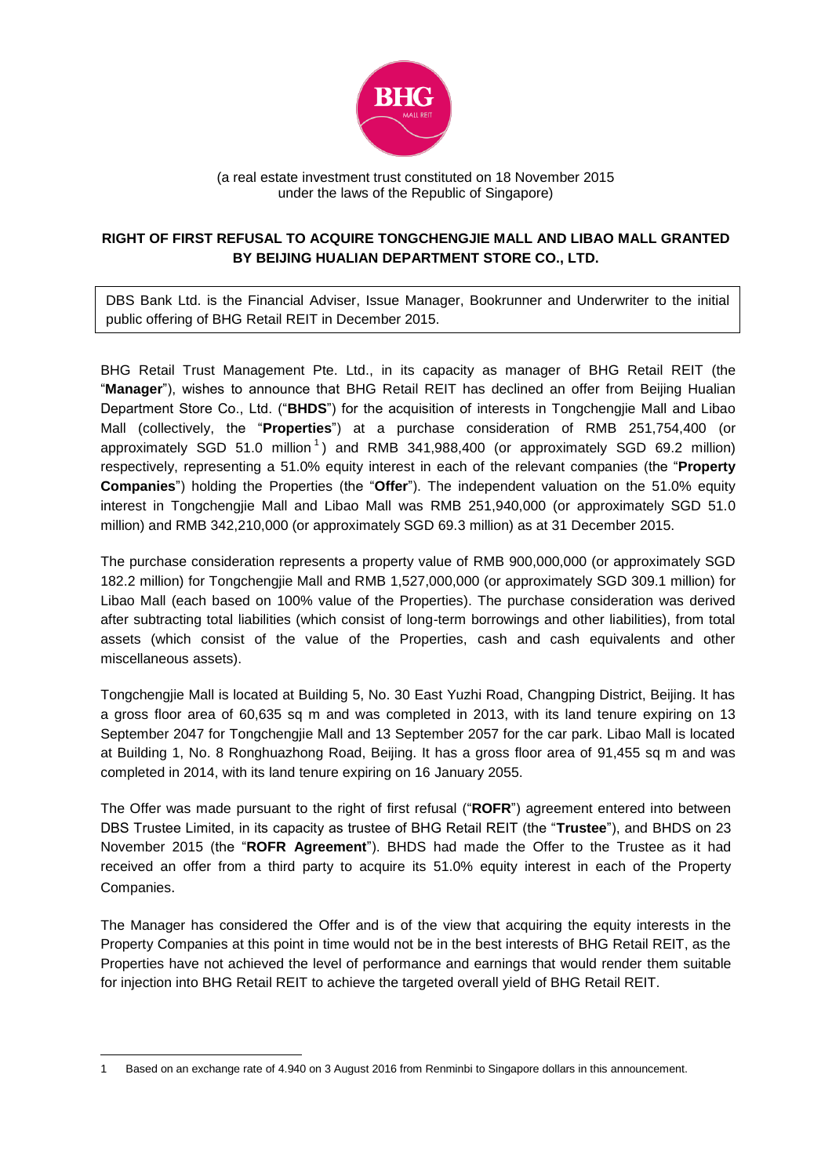

(a real estate investment trust constituted on 18 November 2015 under the laws of the Republic of Singapore)

## **RIGHT OF FIRST REFUSAL TO ACQUIRE TONGCHENGJIE MALL AND LIBAO MALL GRANTED BY BEIJING HUALIAN DEPARTMENT STORE CO., LTD.**

DBS Bank Ltd. is the Financial Adviser, Issue Manager, Bookrunner and Underwriter to the initial public offering of BHG Retail REIT in December 2015.

BHG Retail Trust Management Pte. Ltd., in its capacity as manager of BHG Retail REIT (the "**Manager**"), wishes to announce that BHG Retail REIT has declined an offer from Beijing Hualian Department Store Co., Ltd. ("**BHDS**") for the acquisition of interests in Tongchengjie Mall and Libao Mall (collectively, the "**Properties**") at a purchase consideration of RMB 251,754,400 (or approximately SGD 51.0 million<sup>1</sup>) and RMB 341,988,400 (or approximately SGD 69.2 million) respectively, representing a 51.0% equity interest in each of the relevant companies (the "**Property Companies**") holding the Properties (the "**Offer**"). The independent valuation on the 51.0% equity interest in Tongchengjie Mall and Libao Mall was RMB 251,940,000 (or approximately SGD 51.0 million) and RMB 342,210,000 (or approximately SGD 69.3 million) as at 31 December 2015.

The purchase consideration represents a property value of RMB 900,000,000 (or approximately SGD 182.2 million) for Tongchengjie Mall and RMB 1,527,000,000 (or approximately SGD 309.1 million) for Libao Mall (each based on 100% value of the Properties). The purchase consideration was derived after subtracting total liabilities (which consist of long-term borrowings and other liabilities), from total assets (which consist of the value of the Properties, cash and cash equivalents and other miscellaneous assets).

Tongchengjie Mall is located at Building 5, No. 30 East Yuzhi Road, Changping District, Beijing. It has a gross floor area of 60,635 sq m and was completed in 2013, with its land tenure expiring on 13 September 2047 for Tongchengjie Mall and 13 September 2057 for the car park. Libao Mall is located at Building 1, No. 8 Ronghuazhong Road, Beijing. It has a gross floor area of 91,455 sq m and was completed in 2014, with its land tenure expiring on 16 January 2055.

The Offer was made pursuant to the right of first refusal ("**ROFR**") agreement entered into between DBS Trustee Limited, in its capacity as trustee of BHG Retail REIT (the "**Trustee**"), and BHDS on 23 November 2015 (the "**ROFR Agreement**"). BHDS had made the Offer to the Trustee as it had received an offer from a third party to acquire its 51.0% equity interest in each of the Property Companies.

The Manager has considered the Offer and is of the view that acquiring the equity interests in the Property Companies at this point in time would not be in the best interests of BHG Retail REIT, as the Properties have not achieved the level of performance and earnings that would render them suitable for injection into BHG Retail REIT to achieve the targeted overall yield of BHG Retail REIT.

**.** 

<sup>1</sup> Based on an exchange rate of 4.940 on 3 August 2016 from Renminbi to Singapore dollars in this announcement.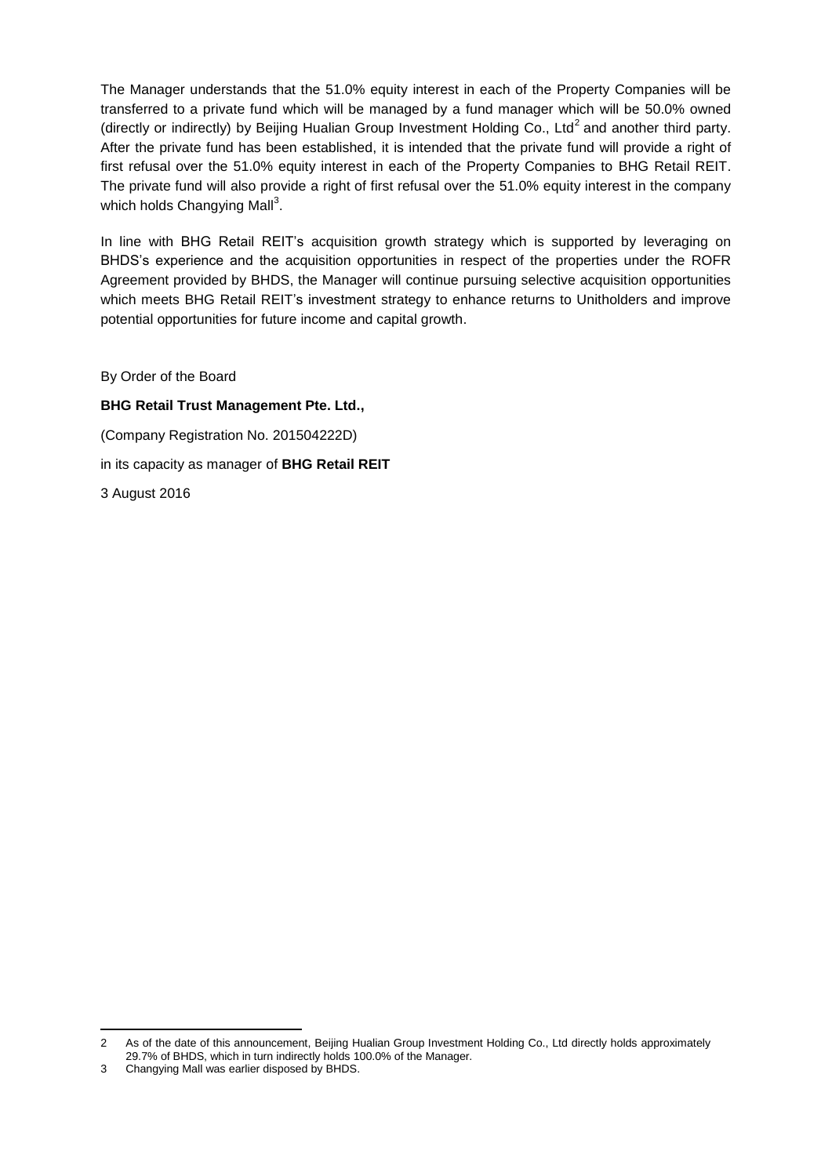The Manager understands that the 51.0% equity interest in each of the Property Companies will be transferred to a private fund which will be managed by a fund manager which will be 50.0% owned (directly or indirectly) by Beijing Hualian Group Investment Holding Co., Ltd<sup>2</sup> and another third party. After the private fund has been established, it is intended that the private fund will provide a right of first refusal over the 51.0% equity interest in each of the Property Companies to BHG Retail REIT. The private fund will also provide a right of first refusal over the 51.0% equity interest in the company which holds Changying Mall<sup>3</sup>.

In line with BHG Retail REIT's acquisition growth strategy which is supported by leveraging on BHDS's experience and the acquisition opportunities in respect of the properties under the ROFR Agreement provided by BHDS, the Manager will continue pursuing selective acquisition opportunities which meets BHG Retail REIT's investment strategy to enhance returns to Unitholders and improve potential opportunities for future income and capital growth.

By Order of the Board

## **BHG Retail Trust Management Pte. Ltd.,**

(Company Registration No. 201504222D)

in its capacity as manager of **BHG Retail REIT**

3 August 2016

**.** 

<sup>2</sup> As of the date of this announcement, Beijing Hualian Group Investment Holding Co., Ltd directly holds approximately 29.7% of BHDS, which in turn indirectly holds 100.0% of the Manager.

<sup>3</sup> Changying Mall was earlier disposed by BHDS.